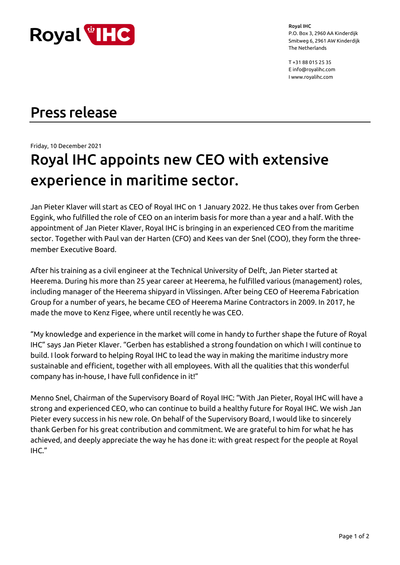

Royal IHC P.O. Box 3, 2960 AA Kinderdijk Smitweg 6, 2961 AW Kinderdijk The Netherlands

T +31 88 015 25 35 E info@royalihc.com I www.royalihc.com

## Press release

Friday, 10 December 2021

# Royal IHC appoints new CEO with extensive experience in maritime sector.

Jan Pieter Klaver will start as CEO of Royal IHC on 1 January 2022. He thus takes over from Gerben Eggink, who fulfilled the role of CEO on an interim basis for more than a year and a half. With the appointment of Jan Pieter Klaver, Royal IHC is bringing in an experienced CEO from the maritime sector. Together with Paul van der Harten (CFO) and Kees van der Snel (COO), they form the threemember Executive Board.

After his training as a civil engineer at the Technical University of Delft, Jan Pieter started at Heerema. During his more than 25 year career at Heerema, he fulfilled various (management) roles, including manager of the Heerema shipyard in Vlissingen. After being CEO of Heerema Fabrication Group for a number of years, he became CEO of Heerema Marine Contractors in 2009. In 2017, he made the move to Kenz Figee, where until recently he was CEO.

"My knowledge and experience in the market will come in handy to further shape the future of Royal IHC" says Jan Pieter Klaver. "Gerben has established a strong foundation on which I will continue to build. I look forward to helping Royal IHC to lead the way in making the maritime industry more sustainable and efficient, together with all employees. With all the qualities that this wonderful company has in-house, I have full confidence in it!"

Menno Snel, Chairman of the Supervisory Board of Royal IHC: "With Jan Pieter, Royal IHC will have a strong and experienced CEO, who can continue to build a healthy future for Royal IHC. We wish Jan Pieter every success in his new role. On behalf of the Supervisory Board, I would like to sincerely thank Gerben for his great contribution and commitment. We are grateful to him for what he has achieved, and deeply appreciate the way he has done it: with great respect for the people at Royal IHC."